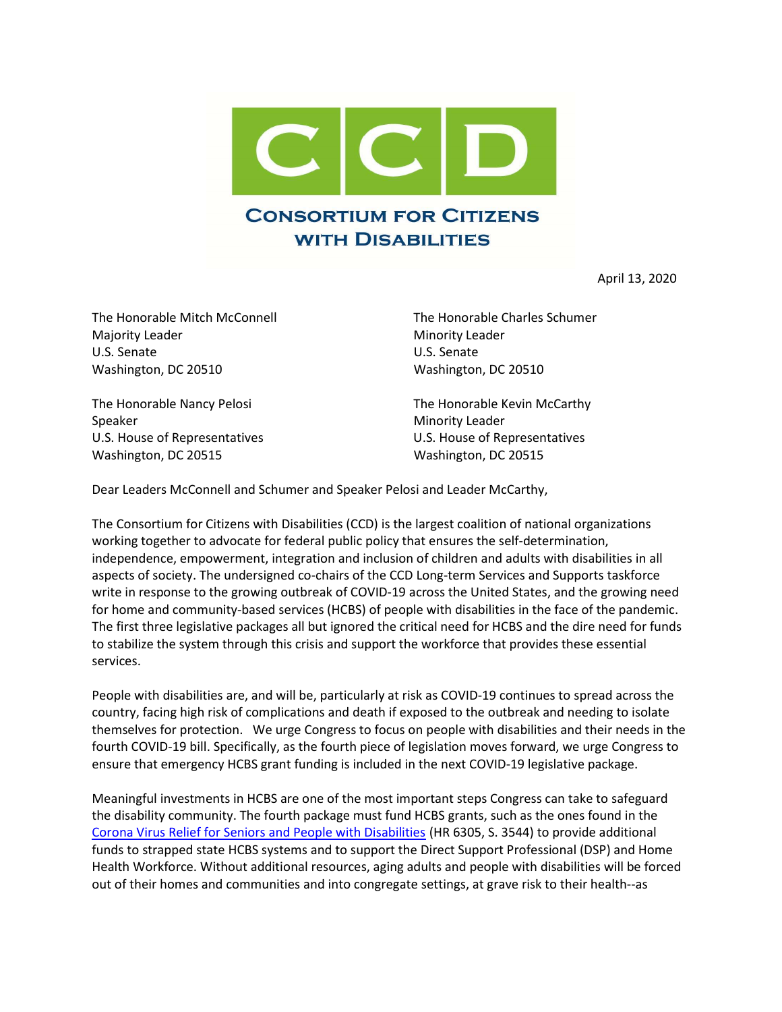

April 13, 2020

The Honorable Mitch McConnell The Honorable Charles Schumer Majority Leader **Minority Leader** Minority Leader U.S. Senate U.S. Senate Washington, DC 20510 Washington, DC 20510

Speaker Minority Leader Washington, DC 20515 Washington, DC 20515

The Honorable Nancy Pelosi The Honorable Kevin McCarthy U.S. House of Representatives U.S. House of Representatives

Dear Leaders McConnell and Schumer and Speaker Pelosi and Leader McCarthy,

The Consortium for Citizens with Disabilities (CCD) is the largest coalition of national organizations working together to advocate for federal public policy that ensures the self-determination, independence, empowerment, integration and inclusion of children and adults with disabilities in all aspects of society. The undersigned co-chairs of the CCD Long-term Services and Supports taskforce write in response to the growing outbreak of COVID-19 across the United States, and the growing need for home and community-based services (HCBS) of people with disabilities in the face of the pandemic. The first three legislative packages all but ignored the critical need for HCBS and the dire need for funds to stabilize the system through this crisis and support the workforce that provides these essential services.

People with disabilities are, and will be, particularly at risk as COVID-19 continues to spread across the country, facing high risk of complications and death if exposed to the outbreak and needing to isolate themselves for protection. We urge Congress to focus on people with disabilities and their needs in the fourth COVID-19 bill. Specifically, as the fourth piece of legislation moves forward, we urge Congress to ensure that emergency HCBS grant funding is included in the next COVID-19 legislative package.

Meaningful investments in HCBS are one of the most important steps Congress can take to safeguard the disability community. The fourth package must fund HCBS grants, such as the ones found in the Corona Virus Relief for Seniors and People with Disabilities (HR 6305, S. 3544) to provide additional funds to strapped state HCBS systems and to support the Direct Support Professional (DSP) and Home Health Workforce. Without additional resources, aging adults and people with disabilities will be forced out of their homes and communities and into congregate settings, at grave risk to their health--as